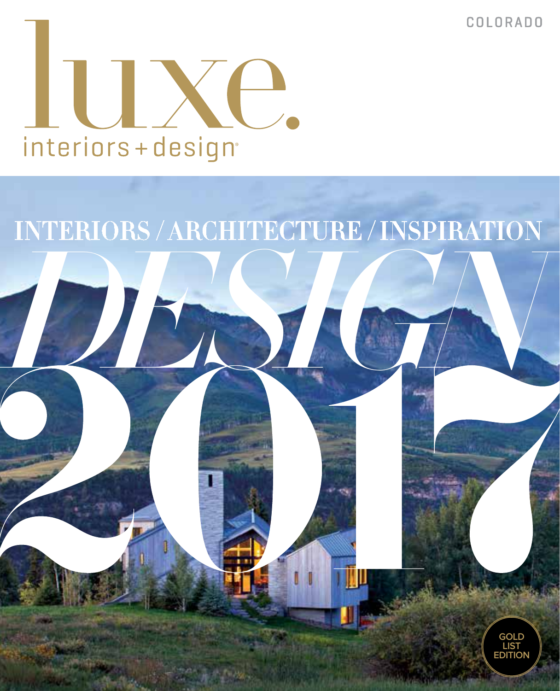COLORADO

**GOLD LIST EDITION**



# *DESIGN* INTERIORS / ARCHITECTURE / INSPIRATION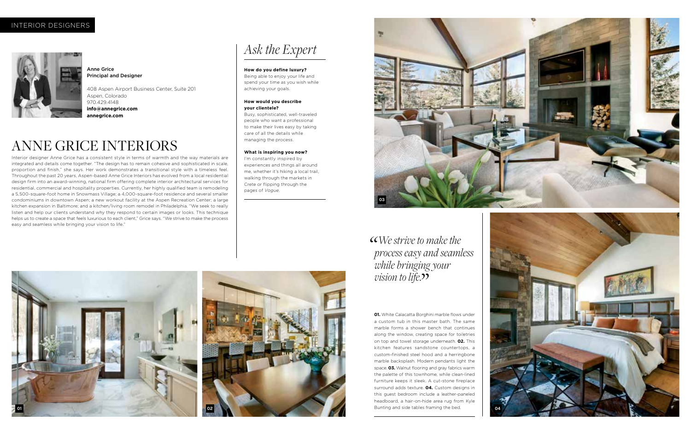# *Ask the Expert*

#### **How do you define luxury?**

Being able to enjoy your life and spend your time as you wish while achieving your goals.

#### **How would you describe your clientele?**

Busy, sophisticated, well-traveled people who want a professional to make their lives easy by taking care of all the details while managing the process.

#### **What is inspiring you now?**

I'm constantly inspired by experiences and things all around me, whether it's hiking a local trail, walking through the markets in Crete or flipping through the pages of *Vogue.*



Anne Grice Principal and Designer

408 Aspen Airport Business Center, Suite 201 Aspen, Colorado 970.429.4148 **info@annegrice.com annegrice.com** 

Interior designer Anne Grice has a consistent style in terms of warmth and the way materials are integrated and details come together. "The design has to remain cohesive and sophisticated in scale, proportion and finish," she says. Her work demonstrates a transitional style with a timeless feel. Throughout the past 20 years, Aspen-based Anne Grice Interiors has evolved from a local residential design firm into an award-winning, national firm offering complete interior architectural services for residential, commercial and hospitality properties. Currently, her highly qualified team is remodeling a 5,500-square-foot home in Snowmass Village; a 4,000-square-foot residence and several smaller condominiums in downtown Aspen; a new workout facility at the Aspen Recreation Center; a large kitchen expansion in Baltimore; and a kitchen/living room remodel in Philadelphia. "We seek to really listen and help our clients understand why they respond to certain images or looks. This technique helps us to create a space that feels luxurious to each client," Grice says. "We strive to make the process easy and seamless while bringing your vision to life."

> *while bringing your vision to life.*"

# ANNE GRICE INTERIORS

## INTERIOR DESIGNERS